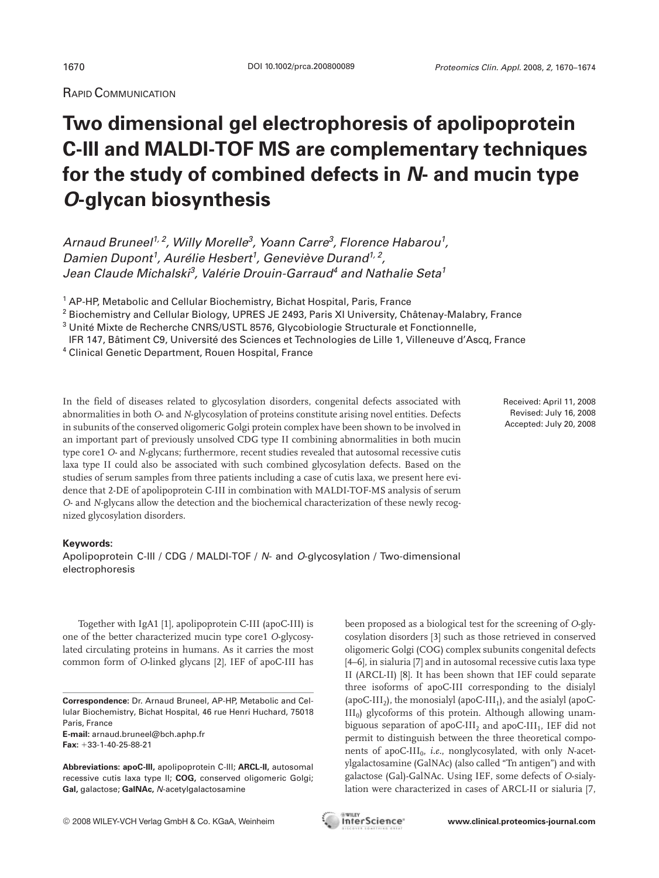RAPID COMMUNICATION

## **Two dimensional gel electrophoresis of apolipoprotein C-III and MALDI-TOF MS are complementary techniques for the study of combined defects in** *N***- and mucin type** *O***-glycan biosynthesis**

Arnaud Bruneel<sup>1, 2</sup>, Willy Morelle<sup>3</sup>, Yoann Carre<sup>3</sup>, Florence Habarou<sup>1</sup>, Damien Dupont<sup>1</sup>, Aurélie Hesbert<sup>1</sup>, Geneviève Durand<sup>1, 2</sup>, Jean Claude Michalski<sup>3</sup>, Valérie Drouin-Garraud<sup>4</sup> and Nathalie Seta<sup>1</sup>

<sup>1</sup> AP-HP, Metabolic and Cellular Biochemistry, Bichat Hospital, Paris, France

<sup>2</sup> Biochemistry and Cellular Biology, UPRES JE 2493, Paris XI University, Châtenay-Malabry, France

<sup>3</sup> Unité Mixte de Recherche CNRS/USTL 8576, Glycobiologie Structurale et Fonctionnelle,

IFR 147, Bâtiment C9, Université des Sciences et Technologies de Lille 1, Villeneuve d'Ascq, France

<sup>4</sup> Clinical Genetic Department, Rouen Hospital, France

In the field of diseases related to glycosylation disorders, congenital defects associated with abnormalities in both *O*- and *N*-glycosylation of proteins constitute arising novel entities. Defects in subunits of the conserved oligomeric Golgi protein complex have been shown to be involved in an important part of previously unsolved CDG type II combining abnormalities in both mucin type core1 *O*- and *N*-glycans; furthermore, recent studies revealed that autosomal recessive cutis laxa type II could also be associated with such combined glycosylation defects. Based on the studies of serum samples from three patients including a case of cutis laxa, we present here evidence that 2-DE of apolipoprotein C-III in combination with MALDI-TOF-MS analysis of serum *O*- and *N*-glycans allow the detection and the biochemical characterization of these newly recognized glycosylation disorders.

## **Keywords:**

Apolipoprotein C-III / CDG / MALDI-TOF / N- and O-glycosylation / Two-dimensional electrophoresis

Together with IgA1 [1], apolipoprotein C-III (apoC-III) is one of the better characterized mucin type core1 *O*-glycosylated circulating proteins in humans. As it carries the most common form of *O*-linked glycans [2], IEF of apoC-III has

**E-mail:** arnaud.bruneel@bch.aphp.fr **Fax:** 133-1-40-25-88-21

**Abbreviations: apoC-III,** apolipoprotein C-III; **ARCL-II,** autosomal recessive cutis laxa type II; **COG,** conserved oligomeric Golgi; **Gal,** galactose; **GalNAc,** N-acetylgalactosamine

been proposed as a biological test for the screening of *O*-glycosylation disorders [3] such as those retrieved in conserved oligomeric Golgi (COG) complex subunits congenital defects [4–6], in sialuria [7] and in autosomal recessive cutis laxa type II (ARCL-II) [8]. It has been shown that IEF could separate three isoforms of apoC-III corresponding to the disialyl (apoC-III<sub>2</sub>), the monosialyl (apoC-III<sub>1</sub>), and the asialyl (apoC- $III<sub>0</sub>$ ) glycoforms of this protein. Although allowing unambiguous separation of apoC-III<sub>2</sub> and apoC-III<sub>1</sub>, IEF did not permit to distinguish between the three theoretical components of apoC-III<sub>0</sub>, *i.e.*, nonglycosylated, with only *N*-acetylgalactosamine (GalNAc) (also called "Tn antigen") and with galactose (Gal)-GalNAc. Using IEF, some defects of *O*-sialylation were characterized in cases of ARCL-II or sialuria [7,

© 2008 WILEY-VCH Verlag GmbH & Co. KGaA, Weinheim **www.clinical.proteomics-journal.com**



Received: April 11, 2008 Revised: July 16, 2008 Accepted: July 20, 2008

**Correspondence:** Dr. Arnaud Bruneel, AP-HP, Metabolic and Cellular Biochemistry, Bichat Hospital, 46 rue Henri Huchard, 75018 Paris, France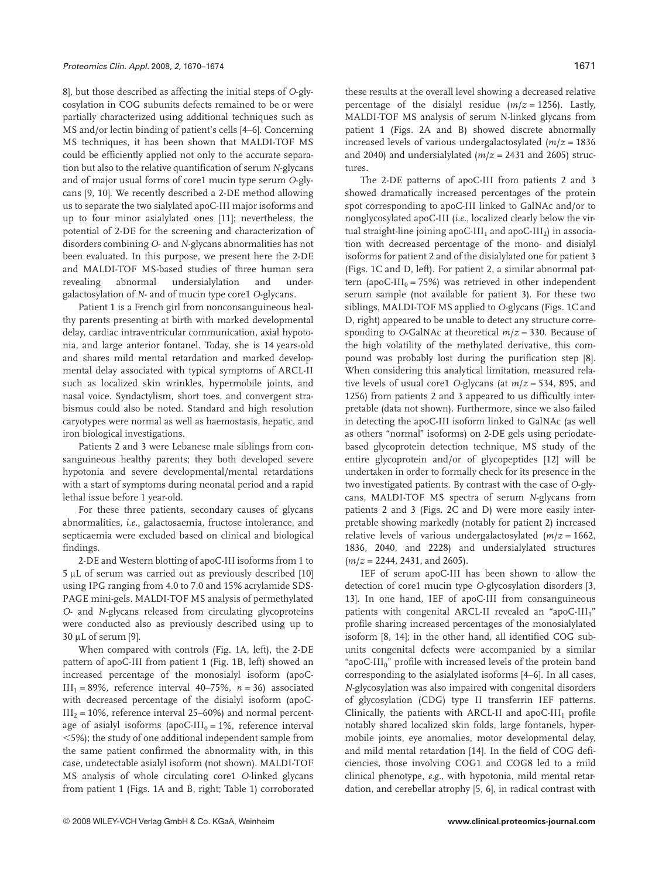8], but those described as affecting the initial steps of *O*-glycosylation in COG subunits defects remained to be or were partially characterized using additional techniques such as MS and/or lectin binding of patient's cells [4–6]. Concerning MS techniques, it has been shown that MALDI-TOF MS could be efficiently applied not only to the accurate separation but also to the relative quantification of serum *N*-glycans and of major usual forms of core1 mucin type serum *O*-glycans [9, 10]. We recently described a 2-DE method allowing us to separate the two sialylated apoC-III major isoforms and up to four minor asialylated ones [11]; nevertheless, the potential of 2-DE for the screening and characterization of disorders combining *O*- and *N*-glycans abnormalities has not been evaluated. In this purpose, we present here the 2-DE and MALDI-TOF MS-based studies of three human sera revealing abnormal undersialylation and undergalactosylation of *N*- and of mucin type core1 *O*-glycans.

Patient 1 is a French girl from nonconsanguineous healthy parents presenting at birth with marked developmental delay, cardiac intraventricular communication, axial hypotonia, and large anterior fontanel. Today, she is 14 years-old and shares mild mental retardation and marked developmental delay associated with typical symptoms of ARCL-II such as localized skin wrinkles, hypermobile joints, and nasal voice. Syndactylism, short toes, and convergent strabismus could also be noted. Standard and high resolution caryotypes were normal as well as haemostasis, hepatic, and iron biological investigations.

Patients 2 and 3 were Lebanese male siblings from consanguineous healthy parents; they both developed severe hypotonia and severe developmental/mental retardations with a start of symptoms during neonatal period and a rapid lethal issue before 1 year-old.

For these three patients, secondary causes of glycans abnormalities, *i.e.*, galactosaemia, fructose intolerance, and septicaemia were excluded based on clinical and biological findings.

2-DE and Western blotting of apoC-III isoforms from 1 to  $5 \mu$ L of serum was carried out as previously described [10] using IPG ranging from 4.0 to 7.0 and 15% acrylamide SDS-PAGE mini-gels. MALDI-TOF MS analysis of permethylated *O*- and *N*-glycans released from circulating glycoproteins were conducted also as previously described using up to  $30 \mu L$  of serum [9].

When compared with controls (Fig. 1A, left), the 2-DE pattern of apoC-III from patient 1 (Fig. 1B, left) showed an increased percentage of the monosialyl isoform (apoC- $III_1 = 89\%$ , reference interval 40–75%,  $n = 36$ ) associated with decreased percentage of the disialyl isoform (apoC- $III<sub>2</sub> = 10%$ , reference interval 25–60%) and normal percentage of asialyl isoforms (apoC-III<sub>0</sub> = 1%, reference interval ,5%); the study of one additional independent sample from the same patient confirmed the abnormality with, in this case, undetectable asialyl isoform (not shown). MALDI-TOF MS analysis of whole circulating core1 *O*-linked glycans from patient 1 (Figs. 1A and B, right; Table 1) corroborated these results at the overall level showing a decreased relative percentage of the disialyl residue  $(m/z = 1256)$ . Lastly, MALDI-TOF MS analysis of serum N-linked glycans from patient 1 (Figs. 2A and B) showed discrete abnormally increased levels of various undergalactosylated (*m*/*z* = 1836 and 2040) and undersialylated ( $m/z = 2431$  and 2605) structures.

The 2-DE patterns of apoC-III from patients 2 and 3 showed dramatically increased percentages of the protein spot corresponding to apoC-III linked to GalNAc and/or to nonglycosylated apoC-III (*i.e.*, localized clearly below the virtual straight-line joining apoC-III<sub>1</sub> and apoC-III<sub>2</sub>) in association with decreased percentage of the mono- and disialyl isoforms for patient 2 and of the disialylated one for patient 3 (Figs. 1C and D, left). For patient 2, a similar abnormal pattern (apoC-III<sub>0</sub> = 75%) was retrieved in other independent serum sample (not available for patient 3). For these two siblings, MALDI-TOF MS applied to *O*-glycans (Figs. 1C and D, right) appeared to be unable to detect any structure corresponding to *O*-GalNAc at theoretical  $m/z = 330$ . Because of the high volatility of the methylated derivative, this compound was probably lost during the purification step [8]. When considering this analytical limitation, measured relative levels of usual core1 *O*-glycans (at *m*/*z* = 534, 895, and 1256) from patients 2 and 3 appeared to us difficultly interpretable (data not shown). Furthermore, since we also failed in detecting the apoC-III isoform linked to GalNAc (as well as others "normal" isoforms) on 2-DE gels using periodatebased glycoprotein detection technique, MS study of the entire glycoprotein and/or of glycopeptides [12] will be undertaken in order to formally check for its presence in the two investigated patients. By contrast with the case of *O*-glycans, MALDI-TOF MS spectra of serum *N*-glycans from patients 2 and 3 (Figs. 2C and D) were more easily interpretable showing markedly (notably for patient 2) increased relative levels of various undergalactosylated  $(m/z = 1662)$ , 1836, 2040, and 2228) and undersialylated structures (*m*/*z* = 2244, 2431, and 2605).

IEF of serum apoC-III has been shown to allow the detection of core1 mucin type *O*-glycosylation disorders [3, 13]. In one hand, IEF of apoC-III from consanguineous patients with congenital ARCL-II revealed an "apoC-III<sub>1</sub>" profile sharing increased percentages of the monosialylated isoform [8, 14]; in the other hand, all identified COG subunits congenital defects were accompanied by a similar "apoC-III<sub>0</sub>" profile with increased levels of the protein band corresponding to the asialylated isoforms [4–6]. In all cases, *N*-glycosylation was also impaired with congenital disorders of glycosylation (CDG) type II transferrin IEF patterns. Clinically, the patients with ARCL-II and apoC-III<sub>1</sub> profile notably shared localized skin folds, large fontanels, hypermobile joints, eye anomalies, motor developmental delay, and mild mental retardation [14]. In the field of COG deficiencies, those involving COG1 and COG8 led to a mild clinical phenotype, *e.g.*, with hypotonia, mild mental retardation, and cerebellar atrophy [5, 6], in radical contrast with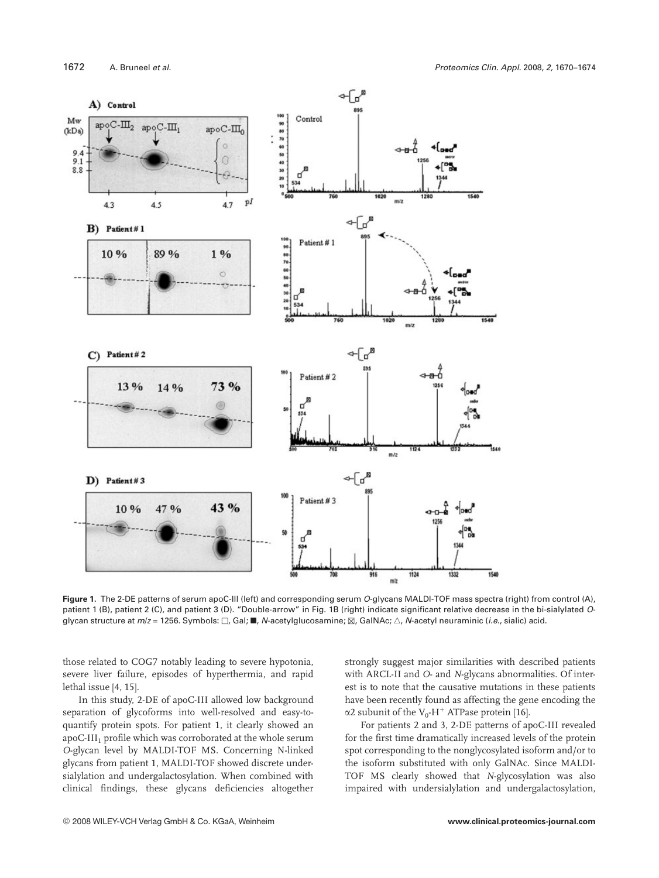

Figure 1. The 2-DE patterns of serum apoC-III (left) and corresponding serum O-glycans MALDI-TOF mass spectra (right) from control (A), patient 1 (B), patient 2 (C), and patient 3 (D). "Double-arrow" in Fig. 1B (right) indicate significant relative decrease in the bi-sialylated Oglycan structure at  $m/z = 1256$ . Symbols:  $\Box$ , Gal;  $\blacksquare$ , N-acetylglucosamine;  $\boxtimes$ , GalNAc;  $\triangle$ , N-acetyl neuraminic (*i.e.*, sialic) acid.

those related to COG7 notably leading to severe hypotonia, severe liver failure, episodes of hyperthermia, and rapid lethal issue [4, 15].

In this study, 2-DE of apoC-III allowed low background separation of glycoforms into well-resolved and easy-toquantify protein spots. For patient 1, it clearly showed an apoC-III<sub>1</sub> profile which was corroborated at the whole serum *O*-glycan level by MALDI-TOF MS. Concerning N-linked glycans from patient 1, MALDI-TOF showed discrete undersialylation and undergalactosylation. When combined with clinical findings, these glycans deficiencies altogether strongly suggest major similarities with described patients with ARCL-II and *O*- and *N*-glycans abnormalities. Of interest is to note that the causative mutations in these patients have been recently found as affecting the gene encoding the  $\alpha$ 2 subunit of the V<sub>0</sub>-H<sup>+</sup> ATPase protein [16].

For patients 2 and 3, 2-DE patterns of apoC-III revealed for the first time dramatically increased levels of the protein spot corresponding to the nonglycosylated isoform and/or to the isoform substituted with only GalNAc. Since MALDI-TOF MS clearly showed that *N*-glycosylation was also impaired with undersialylation and undergalactosylation,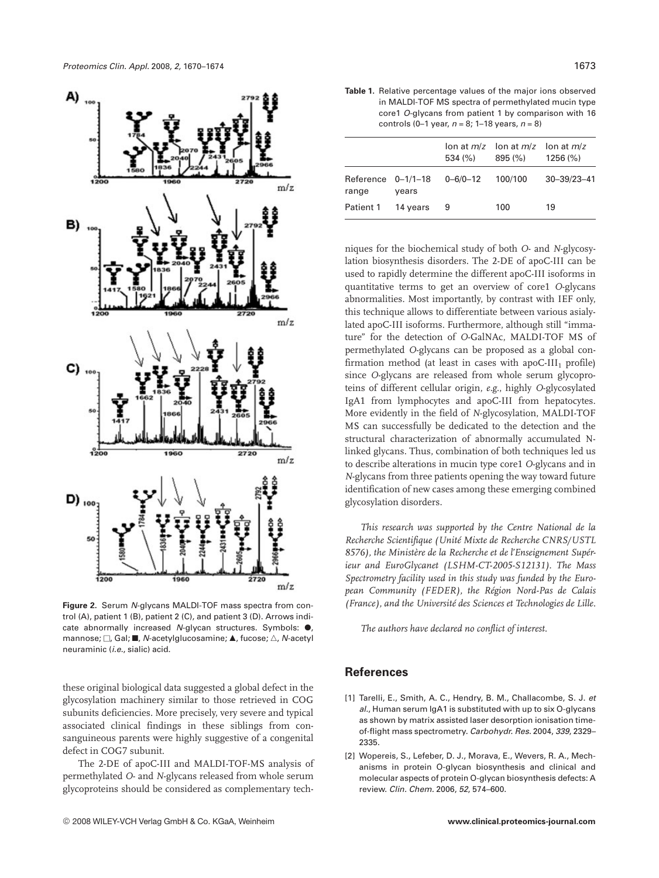

**Figure 2.** Serum N-glycans MALDI-TOF mass spectra from control (A), patient 1 (B), patient 2 (C), and patient 3 (D). Arrows indicate abnormally increased  $N$ -glycan structures. Symbols:  $\bullet$ , mannose;  $\Box$ , Gal;  $\blacksquare$ , N-acetylglucosamine;  $\blacktriangle$ , fucose;  $\triangle$ , N-acetyl neuraminic (i.e., sialic) acid.

these original biological data suggested a global defect in the glycosylation machinery similar to those retrieved in COG subunits deficiencies. More precisely, very severe and typical associated clinical findings in these siblings from consanguineous parents were highly suggestive of a congenital defect in COG7 subunit.

The 2-DE of apoC-III and MALDI-TOF-MS analysis of permethylated *O*- and *N*-glycans released from whole serum glycoproteins should be considered as complementary tech-

**Table 1.** Relative percentage values of the major ions observed in MALDI-TOF MS spectra of permethylated mucin type core1 O-glycans from patient 1 by comparison with 16 controls (0–1 year,  $n = 8$ ; 1–18 years,  $n = 8$ )

|                               |          | 534 (%)        | lon at $m/z$ lon at $m/z$ lon at $m/z$<br>895 (%) | $1256\,(%)$       |
|-------------------------------|----------|----------------|---------------------------------------------------|-------------------|
| Reference $0-1/1-18$<br>range | years    | $0 - 6/0 - 12$ | 100/100                                           | $30 - 39/23 - 41$ |
| Patient 1                     | 14 years | -9             | 100                                               | 19                |

niques for the biochemical study of both *O*- and *N*-glycosylation biosynthesis disorders. The 2-DE of apoC-III can be used to rapidly determine the different apoC-III isoforms in quantitative terms to get an overview of core1 *O*-glycans abnormalities. Most importantly, by contrast with IEF only, this technique allows to differentiate between various asialylated apoC-III isoforms. Furthermore, although still "immature" for the detection of *O*-GalNAc, MALDI-TOF MS of permethylated *O*-glycans can be proposed as a global confirmation method (at least in cases with apoC-III<sub>1</sub> profile) since *O*-glycans are released from whole serum glycoproteins of different cellular origin, *e.g.*, highly *O*-glycosylated IgA1 from lymphocytes and apoC-III from hepatocytes. More evidently in the field of *N*-glycosylation, MALDI-TOF MS can successfully be dedicated to the detection and the structural characterization of abnormally accumulated Nlinked glycans. Thus, combination of both techniques led us to describe alterations in mucin type core1 *O*-glycans and in *N*-glycans from three patients opening the way toward future identification of new cases among these emerging combined glycosylation disorders.

*This research was supported by the Centre National de la Recherche Scientifique (Unité Mixte de Recherche CNRS/USTL 8576), the Ministère de la Recherche et de l'Enseignement Supérieur and EuroGlycanet (LSHM-CT-2005-S12131). The Mass Spectrometry facility used in this study was funded by the European Community (FEDER), the Région Nord-Pas de Calais (France), and the Université des Sciences et Technologies de Lille.*

*The authors have declared no conflict of interest.*

## **References**

- [1] Tarelli, E., Smith, A. C., Hendry, B. M., Challacombe, S. J. et al., Human serum IgA1 is substituted with up to six O-glycans as shown by matrix assisted laser desorption ionisation timeof-flight mass spectrometry. Carbohydr. Res. 2004, 339, 2329– 2335.
- [2] Wopereis, S., Lefeber, D. J., Morava, E., Wevers, R. A., Mechanisms in protein O-glycan biosynthesis and clinical and molecular aspects of protein O-glycan biosynthesis defects: A review. Clin. Chem. 2006, 52, 574–600.